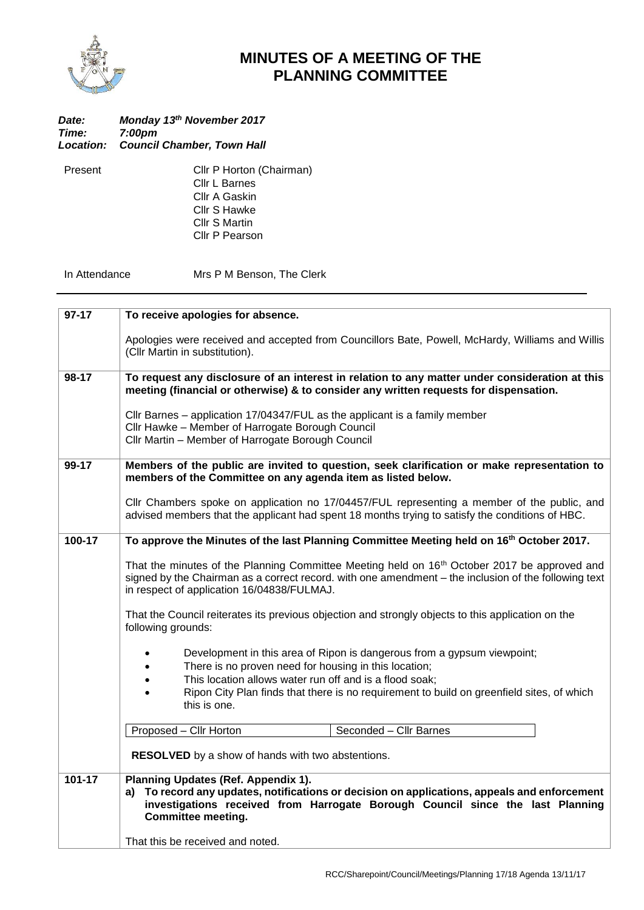

## **MINUTES OF A MEETING OF THE PLANNING COMMITTEE**

| Date:<br>Time: | Monday 13th November 2017<br>7:00pm         |  |
|----------------|---------------------------------------------|--|
|                | <b>Location: Council Chamber, Town Hall</b> |  |
| Present        | Cllr P Horton (Chai                         |  |

irman) Cllr L Barnes Cllr A Gaskin Cllr S Hawke Cllr S Martin Cllr P Pearson

In Attendance Mrs P M Benson, The Clerk

| $97-17$ | To receive apologies for absence.                                                                                                                                                                                                                                                                                                  |  |  |
|---------|------------------------------------------------------------------------------------------------------------------------------------------------------------------------------------------------------------------------------------------------------------------------------------------------------------------------------------|--|--|
|         | Apologies were received and accepted from Councillors Bate, Powell, McHardy, Williams and Willis<br>(Cllr Martin in substitution).                                                                                                                                                                                                 |  |  |
| 98-17   | To request any disclosure of an interest in relation to any matter under consideration at this<br>meeting (financial or otherwise) & to consider any written requests for dispensation.                                                                                                                                            |  |  |
|         | Cllr Barnes – application 17/04347/FUL as the applicant is a family member<br>Cllr Hawke - Member of Harrogate Borough Council<br>Cllr Martin - Member of Harrogate Borough Council                                                                                                                                                |  |  |
| 99-17   | Members of the public are invited to question, seek clarification or make representation to<br>members of the Committee on any agenda item as listed below.                                                                                                                                                                        |  |  |
|         | Cllr Chambers spoke on application no 17/04457/FUL representing a member of the public, and<br>advised members that the applicant had spent 18 months trying to satisfy the conditions of HBC.                                                                                                                                     |  |  |
| 100-17  | To approve the Minutes of the last Planning Committee Meeting held on 16th October 2017.                                                                                                                                                                                                                                           |  |  |
|         | That the minutes of the Planning Committee Meeting held on 16 <sup>th</sup> October 2017 be approved and<br>signed by the Chairman as a correct record. with one amendment – the inclusion of the following text<br>in respect of application 16/04838/FULMAJ.                                                                     |  |  |
|         | That the Council reiterates its previous objection and strongly objects to this application on the<br>following grounds:                                                                                                                                                                                                           |  |  |
|         | Development in this area of Ripon is dangerous from a gypsum viewpoint;<br>There is no proven need for housing in this location;<br>$\bullet$<br>This location allows water run off and is a flood soak;<br>$\bullet$<br>Ripon City Plan finds that there is no requirement to build on greenfield sites, of which<br>this is one. |  |  |
|         | Seconded - Cllr Barnes<br>Proposed - Cllr Horton                                                                                                                                                                                                                                                                                   |  |  |
|         | <b>RESOLVED</b> by a show of hands with two abstentions.                                                                                                                                                                                                                                                                           |  |  |
| 101-17  | Planning Updates (Ref. Appendix 1).                                                                                                                                                                                                                                                                                                |  |  |
|         | a) To record any updates, notifications or decision on applications, appeals and enforcement<br>investigations received from Harrogate Borough Council since the last Planning<br><b>Committee meeting.</b>                                                                                                                        |  |  |
|         | That this be received and noted.                                                                                                                                                                                                                                                                                                   |  |  |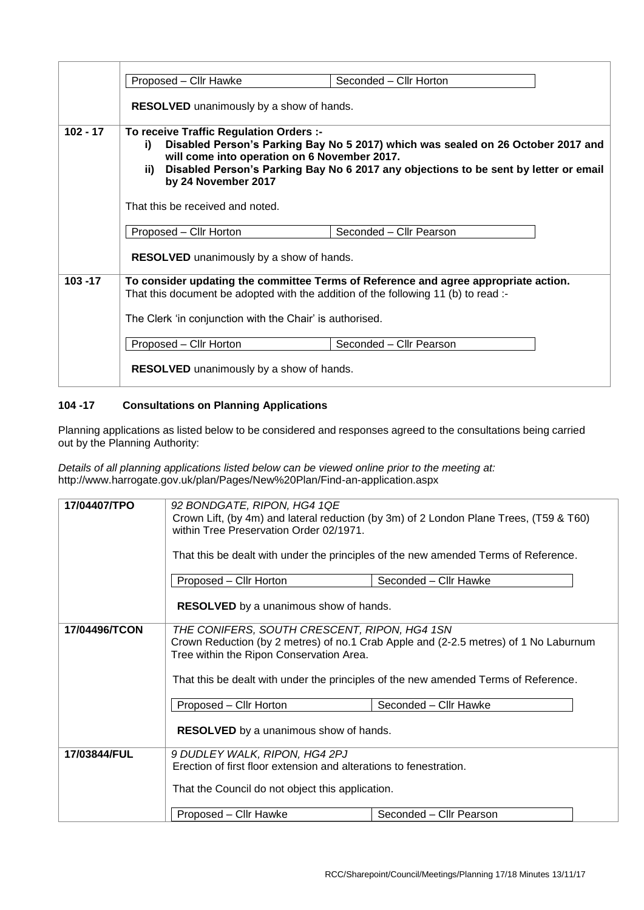|            | Proposed - Cllr Hawke                                                                                                                                                                                                                                                                                   | Seconded - Cllr Horton  |  |
|------------|---------------------------------------------------------------------------------------------------------------------------------------------------------------------------------------------------------------------------------------------------------------------------------------------------------|-------------------------|--|
|            | RESOLVED unanimously by a show of hands.                                                                                                                                                                                                                                                                |                         |  |
| $102 - 17$ | To receive Traffic Regulation Orders :-<br>Disabled Person's Parking Bay No 5 2017) which was sealed on 26 October 2017 and<br>i)<br>will come into operation on 6 November 2017.<br>Disabled Person's Parking Bay No 6 2017 any objections to be sent by letter or email<br>ii)<br>by 24 November 2017 |                         |  |
|            | That this be received and noted.                                                                                                                                                                                                                                                                        |                         |  |
|            | Proposed - Cllr Horton                                                                                                                                                                                                                                                                                  | Seconded - Cllr Pearson |  |
|            | <b>RESOLVED</b> unanimously by a show of hands.                                                                                                                                                                                                                                                         |                         |  |
| $103 - 17$ | To consider updating the committee Terms of Reference and agree appropriate action.<br>That this document be adopted with the addition of the following 11 (b) to read :-                                                                                                                               |                         |  |
|            | The Clerk 'in conjunction with the Chair' is authorised.                                                                                                                                                                                                                                                |                         |  |
|            | Proposed - Cllr Horton                                                                                                                                                                                                                                                                                  | Seconded - Cllr Pearson |  |
|            | <b>RESOLVED</b> unanimously by a show of hands.                                                                                                                                                                                                                                                         |                         |  |

## **104 -17 Consultations on Planning Applications**

Planning applications as listed below to be considered and responses agreed to the consultations being carried out by the Planning Authority:

*Details of all planning applications listed below can be viewed online prior to the meeting at:* http://www.harrogate.gov.uk/plan/Pages/New%20Plan/Find-an-application.aspx

| 17/04407/TPO  | 92 BONDGATE, RIPON, HG4 1QE<br>Crown Lift, (by 4m) and lateral reduction (by 3m) of 2 London Plane Trees, (T59 & T60)<br>within Tree Preservation Order 02/1971.<br>That this be dealt with under the principles of the new amended Terms of Reference.                 |  |
|---------------|-------------------------------------------------------------------------------------------------------------------------------------------------------------------------------------------------------------------------------------------------------------------------|--|
|               | Seconded - Cllr Hawke<br>Proposed – Cllr Horton<br><b>RESOLVED</b> by a unanimous show of hands.                                                                                                                                                                        |  |
| 17/04496/TCON | THE CONIFERS, SOUTH CRESCENT, RIPON, HG4 1SN<br>Crown Reduction (by 2 metres) of no.1 Crab Apple and (2-2.5 metres) of 1 No Laburnum<br>Tree within the Ripon Conservation Area.<br>That this be dealt with under the principles of the new amended Terms of Reference. |  |
|               | Seconded - Cllr Hawke<br>Proposed - Cllr Horton<br><b>RESOLVED</b> by a unanimous show of hands.                                                                                                                                                                        |  |
| 17/03844/FUL  | 9 DUDLEY WALK, RIPON, HG4 2PJ<br>Erection of first floor extension and alterations to fenestration.<br>That the Council do not object this application.                                                                                                                 |  |
|               | Proposed - Cllr Hawke<br>Seconded - Cllr Pearson                                                                                                                                                                                                                        |  |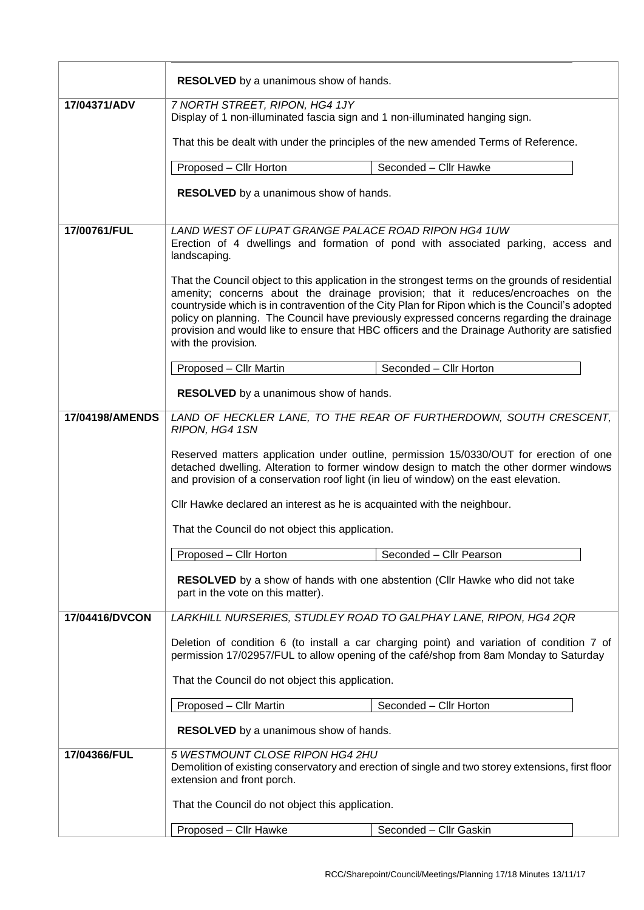|                 | RESOLVED by a unanimous show of hands.                                                                                                                                                                                                                                                                                                                                                                                                                                                                        |                        |  |
|-----------------|---------------------------------------------------------------------------------------------------------------------------------------------------------------------------------------------------------------------------------------------------------------------------------------------------------------------------------------------------------------------------------------------------------------------------------------------------------------------------------------------------------------|------------------------|--|
| 17/04371/ADV    | 7 NORTH STREET, RIPON, HG4 1JY<br>Display of 1 non-illuminated fascia sign and 1 non-illuminated hanging sign.                                                                                                                                                                                                                                                                                                                                                                                                |                        |  |
|                 | That this be dealt with under the principles of the new amended Terms of Reference.                                                                                                                                                                                                                                                                                                                                                                                                                           |                        |  |
|                 | Proposed - Cllr Horton                                                                                                                                                                                                                                                                                                                                                                                                                                                                                        | Seconded - Cllr Hawke  |  |
|                 | <b>RESOLVED</b> by a unanimous show of hands.                                                                                                                                                                                                                                                                                                                                                                                                                                                                 |                        |  |
| 17/00761/FUL    | LAND WEST OF LUPAT GRANGE PALACE ROAD RIPON HG4 1UW                                                                                                                                                                                                                                                                                                                                                                                                                                                           |                        |  |
|                 | Erection of 4 dwellings and formation of pond with associated parking, access and<br>landscaping.                                                                                                                                                                                                                                                                                                                                                                                                             |                        |  |
|                 | That the Council object to this application in the strongest terms on the grounds of residential<br>amenity; concerns about the drainage provision; that it reduces/encroaches on the<br>countryside which is in contravention of the City Plan for Ripon which is the Council's adopted<br>policy on planning. The Council have previously expressed concerns regarding the drainage<br>provision and would like to ensure that HBC officers and the Drainage Authority are satisfied<br>with the provision. |                        |  |
|                 | Seconded - Cllr Horton<br>Proposed - Cllr Martin                                                                                                                                                                                                                                                                                                                                                                                                                                                              |                        |  |
|                 | <b>RESOLVED</b> by a unanimous show of hands.                                                                                                                                                                                                                                                                                                                                                                                                                                                                 |                        |  |
| 17/04198/AMENDS | LAND OF HECKLER LANE, TO THE REAR OF FURTHERDOWN, SOUTH CRESCENT,<br>RIPON, HG4 1SN                                                                                                                                                                                                                                                                                                                                                                                                                           |                        |  |
|                 | Reserved matters application under outline, permission 15/0330/OUT for erection of one<br>detached dwelling. Alteration to former window design to match the other dormer windows<br>and provision of a conservation roof light (in lieu of window) on the east elevation.                                                                                                                                                                                                                                    |                        |  |
|                 | Cllr Hawke declared an interest as he is acquainted with the neighbour.                                                                                                                                                                                                                                                                                                                                                                                                                                       |                        |  |
|                 | That the Council do not object this application.                                                                                                                                                                                                                                                                                                                                                                                                                                                              |                        |  |
|                 | Proposed - Cllr Horton<br>Seconded - Cllr Pearson                                                                                                                                                                                                                                                                                                                                                                                                                                                             |                        |  |
|                 | <b>RESOLVED</b> by a show of hands with one abstention (CIIr Hawke who did not take<br>part in the vote on this matter).                                                                                                                                                                                                                                                                                                                                                                                      |                        |  |
| 17/04416/DVCON  | LARKHILL NURSERIES, STUDLEY ROAD TO GALPHAY LANE, RIPON, HG4 2QR                                                                                                                                                                                                                                                                                                                                                                                                                                              |                        |  |
|                 | Deletion of condition 6 (to install a car charging point) and variation of condition 7 of<br>permission 17/02957/FUL to allow opening of the café/shop from 8am Monday to Saturday                                                                                                                                                                                                                                                                                                                            |                        |  |
|                 | That the Council do not object this application.                                                                                                                                                                                                                                                                                                                                                                                                                                                              |                        |  |
|                 | Proposed - Cllr Martin                                                                                                                                                                                                                                                                                                                                                                                                                                                                                        | Seconded - Cllr Horton |  |
|                 | <b>RESOLVED</b> by a unanimous show of hands.                                                                                                                                                                                                                                                                                                                                                                                                                                                                 |                        |  |
| 17/04366/FUL    | 5 WESTMOUNT CLOSE RIPON HG4 2HU<br>Demolition of existing conservatory and erection of single and two storey extensions, first floor<br>extension and front porch.                                                                                                                                                                                                                                                                                                                                            |                        |  |
|                 | That the Council do not object this application.                                                                                                                                                                                                                                                                                                                                                                                                                                                              |                        |  |
|                 | Proposed - Cllr Hawke                                                                                                                                                                                                                                                                                                                                                                                                                                                                                         | Seconded - Cllr Gaskin |  |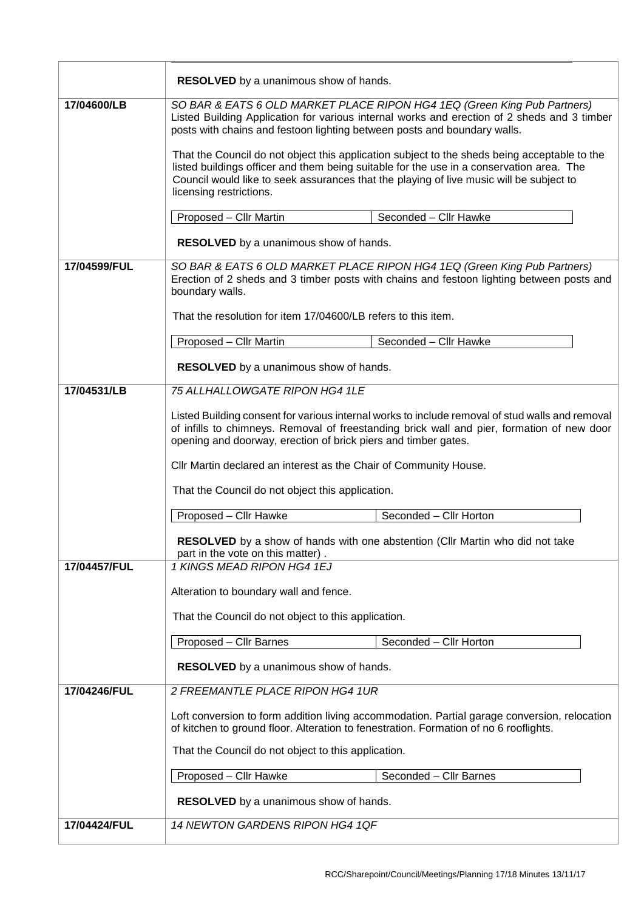|                                                                                                                    | RESOLVED by a unanimous show of hands.                                                                                                                                                                                                                                                                         |  |  |
|--------------------------------------------------------------------------------------------------------------------|----------------------------------------------------------------------------------------------------------------------------------------------------------------------------------------------------------------------------------------------------------------------------------------------------------------|--|--|
| 17/04600/LB                                                                                                        | SO BAR & EATS 6 OLD MARKET PLACE RIPON HG4 1EQ (Green King Pub Partners)<br>Listed Building Application for various internal works and erection of 2 sheds and 3 timber<br>posts with chains and festoon lighting between posts and boundary walls.                                                            |  |  |
|                                                                                                                    | That the Council do not object this application subject to the sheds being acceptable to the<br>listed buildings officer and them being suitable for the use in a conservation area. The<br>Council would like to seek assurances that the playing of live music will be subject to<br>licensing restrictions. |  |  |
|                                                                                                                    | Proposed - Cllr Martin<br>Seconded - Cllr Hawke                                                                                                                                                                                                                                                                |  |  |
|                                                                                                                    | <b>RESOLVED</b> by a unanimous show of hands.                                                                                                                                                                                                                                                                  |  |  |
| 17/04599/FUL                                                                                                       | SO BAR & EATS 6 OLD MARKET PLACE RIPON HG4 1EQ (Green King Pub Partners)<br>Erection of 2 sheds and 3 timber posts with chains and festoon lighting between posts and<br>boundary walls.                                                                                                                       |  |  |
|                                                                                                                    | That the resolution for item 17/04600/LB refers to this item.                                                                                                                                                                                                                                                  |  |  |
|                                                                                                                    | Seconded - Cllr Hawke<br>Proposed - Cllr Martin                                                                                                                                                                                                                                                                |  |  |
|                                                                                                                    | RESOLVED by a unanimous show of hands.                                                                                                                                                                                                                                                                         |  |  |
| 17/04531/LB                                                                                                        | 75 ALLHALLOWGATE RIPON HG4 1LE                                                                                                                                                                                                                                                                                 |  |  |
|                                                                                                                    | Listed Building consent for various internal works to include removal of stud walls and removal<br>of infills to chimneys. Removal of freestanding brick wall and pier, formation of new door<br>opening and doorway, erection of brick piers and timber gates.                                                |  |  |
|                                                                                                                    | Cllr Martin declared an interest as the Chair of Community House.                                                                                                                                                                                                                                              |  |  |
|                                                                                                                    | That the Council do not object this application.                                                                                                                                                                                                                                                               |  |  |
|                                                                                                                    | Seconded - Cllr Horton<br>Proposed - Cllr Hawke                                                                                                                                                                                                                                                                |  |  |
| RESOLVED by a show of hands with one abstention (Cllr Martin who did not take<br>part in the vote on this matter). |                                                                                                                                                                                                                                                                                                                |  |  |
| 17/04457/FUL                                                                                                       | 1 KINGS MEAD RIPON HG4 1EJ                                                                                                                                                                                                                                                                                     |  |  |
|                                                                                                                    | Alteration to boundary wall and fence.                                                                                                                                                                                                                                                                         |  |  |
|                                                                                                                    | That the Council do not object to this application.                                                                                                                                                                                                                                                            |  |  |
|                                                                                                                    | Seconded - Cllr Horton<br>Proposed - Cllr Barnes                                                                                                                                                                                                                                                               |  |  |
|                                                                                                                    | <b>RESOLVED</b> by a unanimous show of hands.                                                                                                                                                                                                                                                                  |  |  |
| 17/04246/FUL                                                                                                       | 2 FREEMANTLE PLACE RIPON HG4 1UR                                                                                                                                                                                                                                                                               |  |  |
|                                                                                                                    | Loft conversion to form addition living accommodation. Partial garage conversion, relocation<br>of kitchen to ground floor. Alteration to fenestration. Formation of no 6 rooflights.                                                                                                                          |  |  |
|                                                                                                                    | That the Council do not object to this application.                                                                                                                                                                                                                                                            |  |  |
|                                                                                                                    | Proposed - Cllr Hawke<br>Seconded - Cllr Barnes                                                                                                                                                                                                                                                                |  |  |
|                                                                                                                    | <b>RESOLVED</b> by a unanimous show of hands.                                                                                                                                                                                                                                                                  |  |  |
| 17/04424/FUL                                                                                                       | 14 NEWTON GARDENS RIPON HG4 1QF                                                                                                                                                                                                                                                                                |  |  |